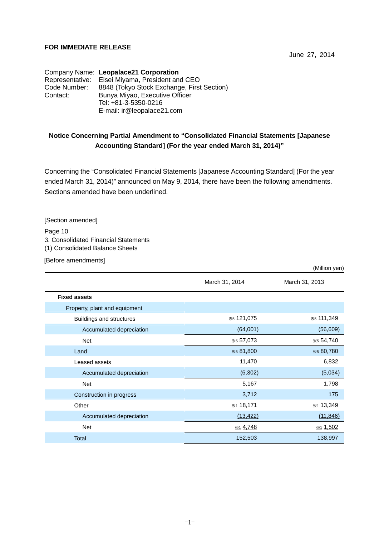### **FOR IMMEDIATE RELEASE**

June 27, 2014

Company Name: **Leopalace21 Corporation** Representative: Eisei Miyama, President and CEO Code Number: 8848 (Tokyo Stock Exchange, First Section) Contact: Bunya Miyao, Executive Officer Tel: +81-3-5350-0216 E-mail: ir@leopalace21.com

## **Notice Concerning Partial Amendment to "Consolidated Financial Statements [Japanese Accounting Standard] (For the year ended March 31, 2014)"**

Concerning the "Consolidated Financial Statements [Japanese Accounting Standard] (For the year ended March 31, 2014)" announced on May 9, 2014, there have been the following amendments. Sections amended have been underlined.

[Section amended]

Page 10 3. Consolidated Financial Statements (1) Consolidated Balance Sheets

[Before amendments]

|                               |                      | (Million yen)     |
|-------------------------------|----------------------|-------------------|
|                               | March 31, 2014       | March 31, 2013    |
| <b>Fixed assets</b>           |                      |                   |
| Property, plant and equipment |                      |                   |
| Buildings and structures      | *5 121,075           | *5 111,349        |
| Accumulated depreciation      | (64,001)             | (56, 609)         |
| <b>Net</b>                    | *5 57,073            | *5 54,740         |
| Land                          | *5 81,800            | *5 80,780         |
| Leased assets                 | 11,470               | 6,832             |
| Accumulated depreciation      | (6,302)              | (5,034)           |
| Net                           | 5,167                | 1,798             |
| Construction in progress      | 3,712                | 175               |
| Other                         | *1 18,171            | *1 13,349         |
| Accumulated depreciation      | (13, 422)            | (11, 846)         |
| Net                           | x <sub>1</sub> 4,748 | $\frac{1,502}{2}$ |
| Total                         | 152,503              | 138,997           |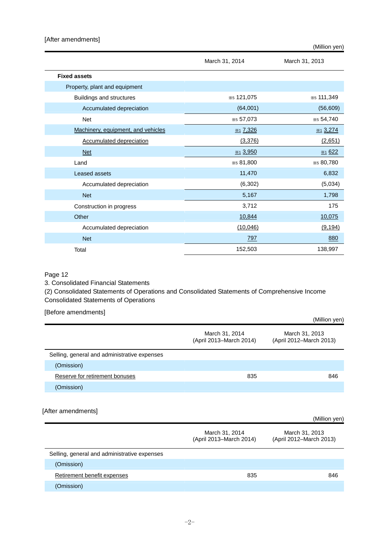|                                    |                          | (Million yen)       |
|------------------------------------|--------------------------|---------------------|
|                                    | March 31, 2014           | March 31, 2013      |
| <b>Fixed assets</b>                |                          |                     |
| Property, plant and equipment      |                          |                     |
| Buildings and structures           | *5 121,075               | *5 111,349          |
| Accumulated depreciation           | (64,001)                 | (56, 609)           |
| <b>Net</b>                         | *5 57,073                | *5 54,740           |
| Machinery, equipment, and vehicles | $\frac{1136}{211}$ 7,326 | $\frac{1}{2}$ 3,274 |
| <b>Accumulated depreciation</b>    | (3,376)                  | (2,651)             |
| <b>Net</b>                         | x <sub>1</sub> 3,950     | <b>X1 622</b>       |
| Land                               | *5 81,800                | *5 80,780           |
| Leased assets                      | 11,470                   | 6,832               |
| Accumulated depreciation           | (6, 302)                 | (5,034)             |
| <b>Net</b>                         | 5,167                    | 1,798               |
| Construction in progress           | 3,712                    | 175                 |
| Other                              | 10,844                   | 10,075              |
| Accumulated depreciation           | (10,046)                 | (9, 194)            |
| <b>Net</b>                         | <u>797</u>               | 880                 |
| Total                              | 152,503                  | 138,997             |

#### Page 12

3. Consolidated Financial Statements

(2) Consolidated Statements of Operations and Consolidated Statements of Comprehensive Income Consolidated Statements of Operations

#### [Before amendments]

|                                              |                                           | (Million yen)                             |
|----------------------------------------------|-------------------------------------------|-------------------------------------------|
|                                              | March 31, 2014<br>(April 2013-March 2014) | March 31, 2013<br>(April 2012-March 2013) |
| Selling, general and administrative expenses |                                           |                                           |
| (Omission)                                   |                                           |                                           |
| Reserve for retirement bonuses               | 835                                       | 846                                       |
| (Omission)                                   |                                           |                                           |
|                                              |                                           |                                           |
| [After amendments]                           |                                           |                                           |

|                                              |                                           | (Million yen)                             |
|----------------------------------------------|-------------------------------------------|-------------------------------------------|
|                                              | March 31, 2014<br>(April 2013-March 2014) | March 31, 2013<br>(April 2012-March 2013) |
| Selling, general and administrative expenses |                                           |                                           |
| (Omission)                                   |                                           |                                           |
| Retirement benefit expenses                  | 835                                       | 846                                       |
| (Omission)                                   |                                           |                                           |